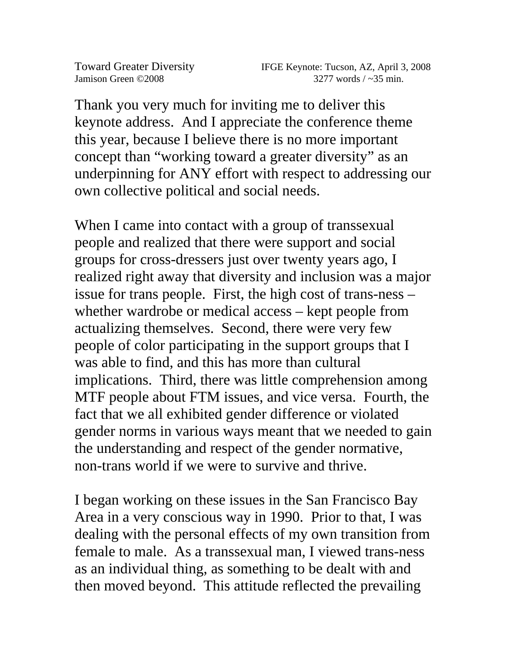Thank you very much for inviting me to deliver this keynote address. And I appreciate the conference theme this year, because I believe there is no more important concept than "working toward a greater diversity" as an underpinning for ANY effort with respect to addressing our own collective political and social needs.

When I came into contact with a group of transsexual people and realized that there were support and social groups for cross-dressers just over twenty years ago, I realized right away that diversity and inclusion was a major issue for trans people. First, the high cost of trans-ness – whether wardrobe or medical access – kept people from actualizing themselves. Second, there were very few people of color participating in the support groups that I was able to find, and this has more than cultural implications. Third, there was little comprehension among MTF people about FTM issues, and vice versa. Fourth, the fact that we all exhibited gender difference or violated gender norms in various ways meant that we needed to gain the understanding and respect of the gender normative, non-trans world if we were to survive and thrive.

I began working on these issues in the San Francisco Bay Area in a very conscious way in 1990. Prior to that, I was dealing with the personal effects of my own transition from female to male. As a transsexual man, I viewed trans-ness as an individual thing, as something to be dealt with and then moved beyond. This attitude reflected the prevailing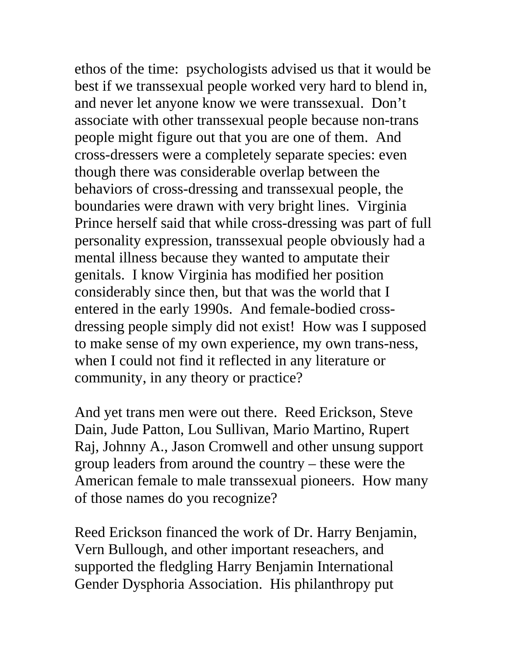ethos of the time: psychologists advised us that it would be best if we transsexual people worked very hard to blend in, and never let anyone know we were transsexual. Don't associate with other transsexual people because non-trans people might figure out that you are one of them. And cross-dressers were a completely separate species: even though there was considerable overlap between the behaviors of cross-dressing and transsexual people, the boundaries were drawn with very bright lines. Virginia Prince herself said that while cross-dressing was part of full personality expression, transsexual people obviously had a mental illness because they wanted to amputate their genitals. I know Virginia has modified her position considerably since then, but that was the world that I entered in the early 1990s. And female-bodied crossdressing people simply did not exist! How was I supposed to make sense of my own experience, my own trans-ness, when I could not find it reflected in any literature or community, in any theory or practice?

And yet trans men were out there. Reed Erickson, Steve Dain, Jude Patton, Lou Sullivan, Mario Martino, Rupert Raj, Johnny A., Jason Cromwell and other unsung support group leaders from around the country – these were the American female to male transsexual pioneers. How many of those names do you recognize?

Reed Erickson financed the work of Dr. Harry Benjamin, Vern Bullough, and other important reseachers, and supported the fledgling Harry Benjamin International Gender Dysphoria Association. His philanthropy put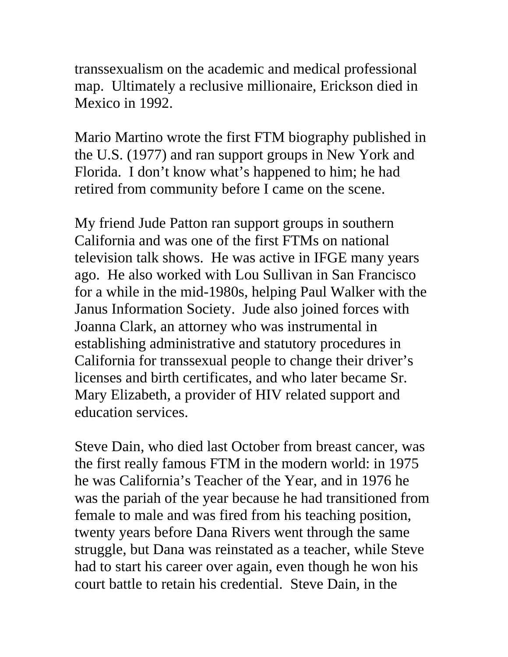transsexualism on the academic and medical professional map. Ultimately a reclusive millionaire, Erickson died in Mexico in 1992.

Mario Martino wrote the first FTM biography published in the U.S. (1977) and ran support groups in New York and Florida. I don't know what's happened to him; he had retired from community before I came on the scene.

My friend Jude Patton ran support groups in southern California and was one of the first FTMs on national television talk shows. He was active in IFGE many years ago. He also worked with Lou Sullivan in San Francisco for a while in the mid-1980s, helping Paul Walker with the Janus Information Society. Jude also joined forces with Joanna Clark, an attorney who was instrumental in establishing administrative and statutory procedures in California for transsexual people to change their driver's licenses and birth certificates, and who later became Sr. Mary Elizabeth, a provider of HIV related support and education services.

Steve Dain, who died last October from breast cancer, was the first really famous FTM in the modern world: in 1975 he was California's Teacher of the Year, and in 1976 he was the pariah of the year because he had transitioned from female to male and was fired from his teaching position, twenty years before Dana Rivers went through the same struggle, but Dana was reinstated as a teacher, while Steve had to start his career over again, even though he won his court battle to retain his credential. Steve Dain, in the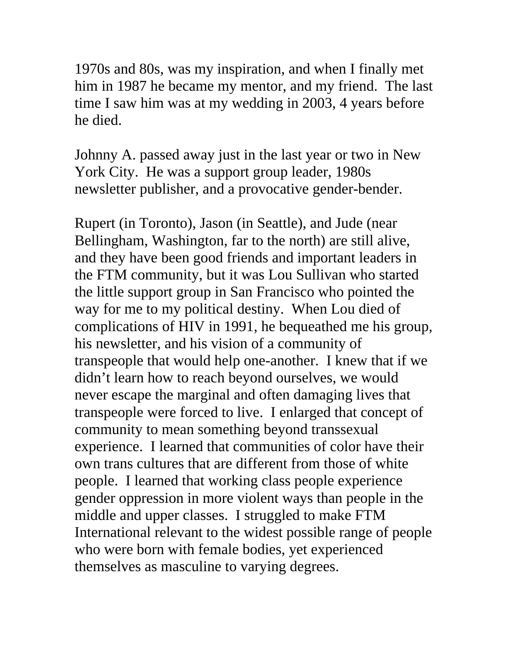1970s and 80s, was my inspiration, and when I finally met him in 1987 he became my mentor, and my friend. The last time I saw him was at my wedding in 2003, 4 years before he died.

Johnny A. passed away just in the last year or two in New York City. He was a support group leader, 1980s newsletter publisher, and a provocative gender-bender.

Rupert (in Toronto), Jason (in Seattle), and Jude (near Bellingham, Washington, far to the north) are still alive, and they have been good friends and important leaders in the FTM community, but it was Lou Sullivan who started the little support group in San Francisco who pointed the way for me to my political destiny. When Lou died of complications of HIV in 1991, he bequeathed me his group, his newsletter, and his vision of a community of transpeople that would help one-another. I knew that if we didn't learn how to reach beyond ourselves, we would never escape the marginal and often damaging lives that transpeople were forced to live. I enlarged that concept of community to mean something beyond transsexual experience. I learned that communities of color have their own trans cultures that are different from those of white people. I learned that working class people experience gender oppression in more violent ways than people in the middle and upper classes. I struggled to make FTM International relevant to the widest possible range of people who were born with female bodies, yet experienced themselves as masculine to varying degrees.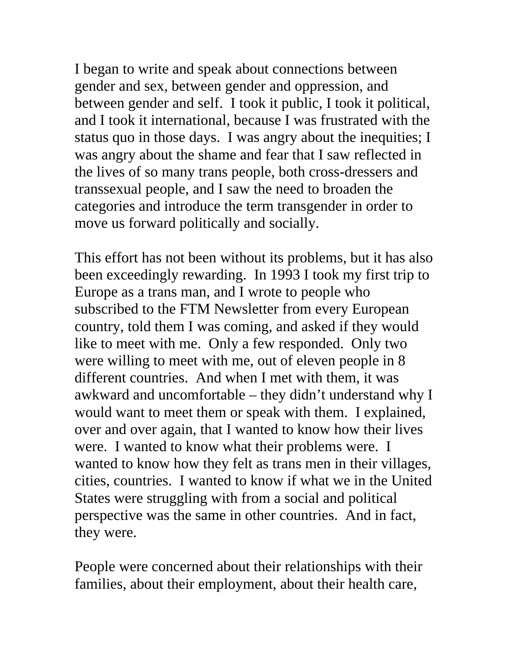I began to write and speak about connections between gender and sex, between gender and oppression, and between gender and self. I took it public, I took it political, and I took it international, because I was frustrated with the status quo in those days. I was angry about the inequities; I was angry about the shame and fear that I saw reflected in the lives of so many trans people, both cross-dressers and transsexual people, and I saw the need to broaden the categories and introduce the term transgender in order to move us forward politically and socially.

This effort has not been without its problems, but it has also been exceedingly rewarding. In 1993 I took my first trip to Europe as a trans man, and I wrote to people who subscribed to the FTM Newsletter from every European country, told them I was coming, and asked if they would like to meet with me. Only a few responded. Only two were willing to meet with me, out of eleven people in 8 different countries. And when I met with them, it was awkward and uncomfortable – they didn't understand why I would want to meet them or speak with them. I explained, over and over again, that I wanted to know how their lives were. I wanted to know what their problems were. I wanted to know how they felt as trans men in their villages, cities, countries. I wanted to know if what we in the United States were struggling with from a social and political perspective was the same in other countries. And in fact, they were.

People were concerned about their relationships with their families, about their employment, about their health care,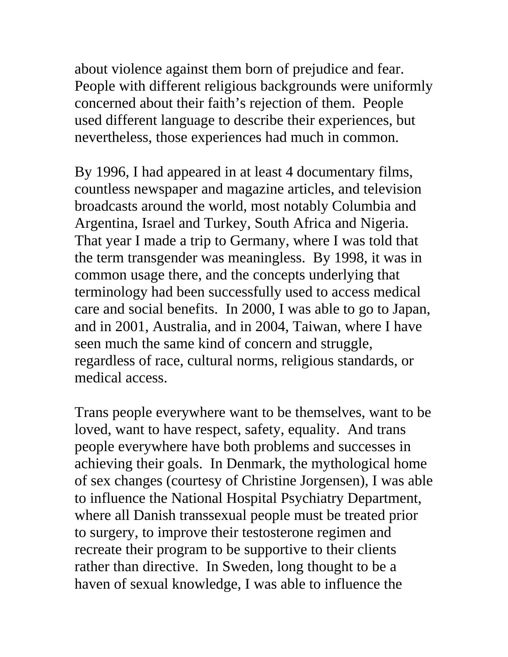about violence against them born of prejudice and fear. People with different religious backgrounds were uniformly concerned about their faith's rejection of them. People used different language to describe their experiences, but nevertheless, those experiences had much in common.

By 1996, I had appeared in at least 4 documentary films, countless newspaper and magazine articles, and television broadcasts around the world, most notably Columbia and Argentina, Israel and Turkey, South Africa and Nigeria. That year I made a trip to Germany, where I was told that the term transgender was meaningless. By 1998, it was in common usage there, and the concepts underlying that terminology had been successfully used to access medical care and social benefits. In 2000, I was able to go to Japan, and in 2001, Australia, and in 2004, Taiwan, where I have seen much the same kind of concern and struggle, regardless of race, cultural norms, religious standards, or medical access.

Trans people everywhere want to be themselves, want to be loved, want to have respect, safety, equality. And trans people everywhere have both problems and successes in achieving their goals. In Denmark, the mythological home of sex changes (courtesy of Christine Jorgensen), I was able to influence the National Hospital Psychiatry Department, where all Danish transsexual people must be treated prior to surgery, to improve their testosterone regimen and recreate their program to be supportive to their clients rather than directive. In Sweden, long thought to be a haven of sexual knowledge, I was able to influence the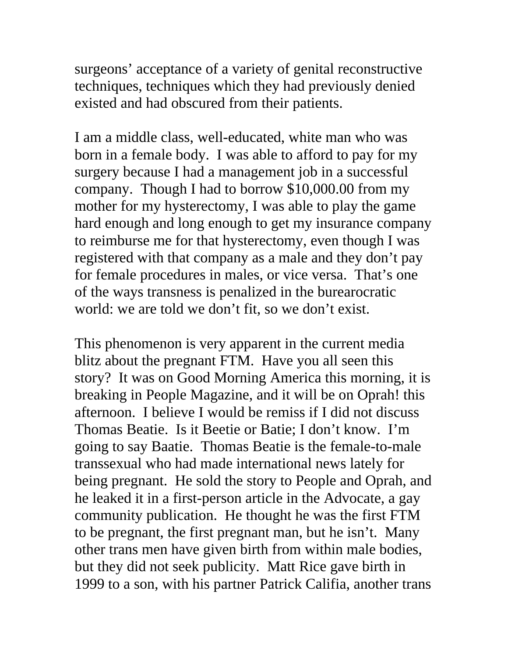surgeons' acceptance of a variety of genital reconstructive techniques, techniques which they had previously denied existed and had obscured from their patients.

I am a middle class, well-educated, white man who was born in a female body. I was able to afford to pay for my surgery because I had a management job in a successful company. Though I had to borrow \$10,000.00 from my mother for my hysterectomy, I was able to play the game hard enough and long enough to get my insurance company to reimburse me for that hysterectomy, even though I was registered with that company as a male and they don't pay for female procedures in males, or vice versa. That's one of the ways transness is penalized in the burearocratic world: we are told we don't fit, so we don't exist.

This phenomenon is very apparent in the current media blitz about the pregnant FTM. Have you all seen this story? It was on Good Morning America this morning, it is breaking in People Magazine, and it will be on Oprah! this afternoon. I believe I would be remiss if I did not discuss Thomas Beatie. Is it Beetie or Batie; I don't know. I'm going to say Baatie. Thomas Beatie is the female-to-male transsexual who had made international news lately for being pregnant. He sold the story to People and Oprah, and he leaked it in a first-person article in the Advocate, a gay community publication. He thought he was the first FTM to be pregnant, the first pregnant man, but he isn't. Many other trans men have given birth from within male bodies, but they did not seek publicity. Matt Rice gave birth in 1999 to a son, with his partner Patrick Califia, another trans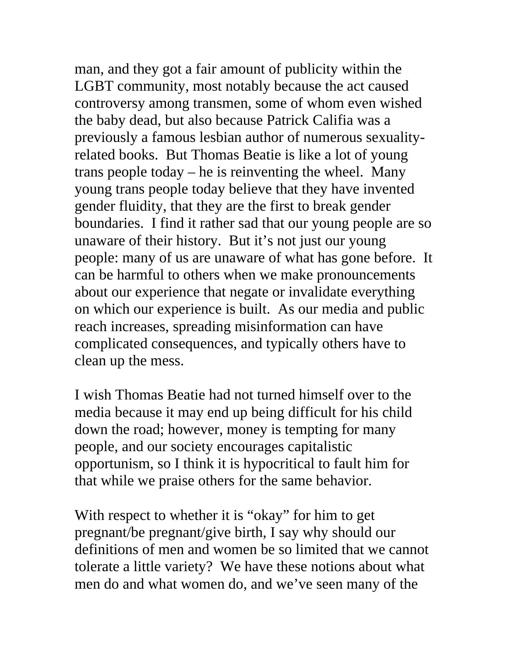man, and they got a fair amount of publicity within the LGBT community, most notably because the act caused controversy among transmen, some of whom even wished the baby dead, but also because Patrick Califia was a previously a famous lesbian author of numerous sexualityrelated books. But Thomas Beatie is like a lot of young trans people today – he is reinventing the wheel. Many young trans people today believe that they have invented gender fluidity, that they are the first to break gender boundaries. I find it rather sad that our young people are so unaware of their history. But it's not just our young people: many of us are unaware of what has gone before. It can be harmful to others when we make pronouncements about our experience that negate or invalidate everything on which our experience is built. As our media and public reach increases, spreading misinformation can have complicated consequences, and typically others have to clean up the mess.

I wish Thomas Beatie had not turned himself over to the media because it may end up being difficult for his child down the road; however, money is tempting for many people, and our society encourages capitalistic opportunism, so I think it is hypocritical to fault him for that while we praise others for the same behavior.

With respect to whether it is "okay" for him to get pregnant/be pregnant/give birth, I say why should our definitions of men and women be so limited that we cannot tolerate a little variety? We have these notions about what men do and what women do, and we've seen many of the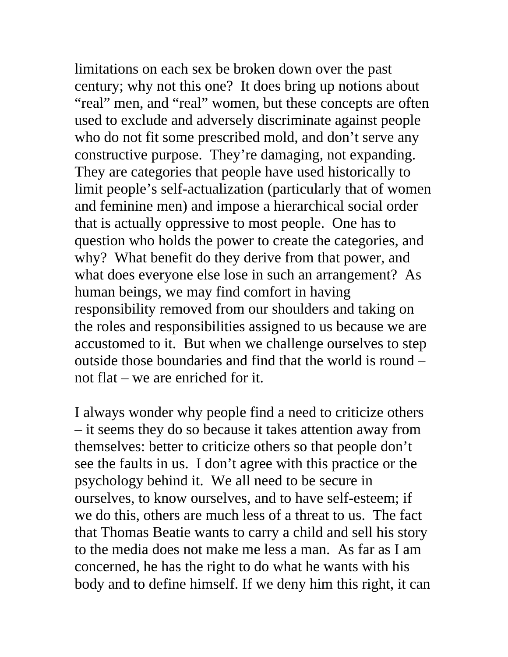limitations on each sex be broken down over the past century; why not this one? It does bring up notions about "real" men, and "real" women, but these concepts are often used to exclude and adversely discriminate against people who do not fit some prescribed mold, and don't serve any constructive purpose. They're damaging, not expanding. They are categories that people have used historically to limit people's self-actualization (particularly that of women and feminine men) and impose a hierarchical social order that is actually oppressive to most people. One has to question who holds the power to create the categories, and why? What benefit do they derive from that power, and what does everyone else lose in such an arrangement? As human beings, we may find comfort in having responsibility removed from our shoulders and taking on the roles and responsibilities assigned to us because we are accustomed to it. But when we challenge ourselves to step outside those boundaries and find that the world is round – not flat – we are enriched for it.

I always wonder why people find a need to criticize others – it seems they do so because it takes attention away from themselves: better to criticize others so that people don't see the faults in us. I don't agree with this practice or the psychology behind it. We all need to be secure in ourselves, to know ourselves, and to have self-esteem; if we do this, others are much less of a threat to us. The fact that Thomas Beatie wants to carry a child and sell his story to the media does not make me less a man. As far as I am concerned, he has the right to do what he wants with his body and to define himself. If we deny him this right, it can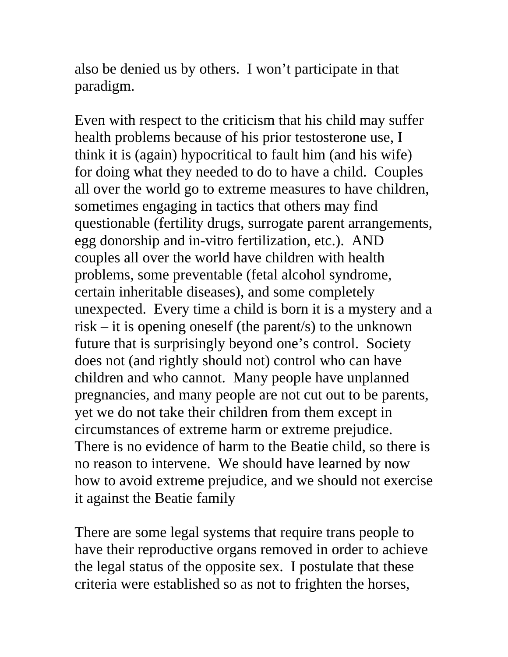also be denied us by others. I won't participate in that paradigm.

Even with respect to the criticism that his child may suffer health problems because of his prior testosterone use, I think it is (again) hypocritical to fault him (and his wife) for doing what they needed to do to have a child. Couples all over the world go to extreme measures to have children, sometimes engaging in tactics that others may find questionable (fertility drugs, surrogate parent arrangements, egg donorship and in-vitro fertilization, etc.). AND couples all over the world have children with health problems, some preventable (fetal alcohol syndrome, certain inheritable diseases), and some completely unexpected. Every time a child is born it is a mystery and a risk – it is opening oneself (the parent/s) to the unknown future that is surprisingly beyond one's control. Society does not (and rightly should not) control who can have children and who cannot. Many people have unplanned pregnancies, and many people are not cut out to be parents, yet we do not take their children from them except in circumstances of extreme harm or extreme prejudice. There is no evidence of harm to the Beatie child, so there is no reason to intervene. We should have learned by now how to avoid extreme prejudice, and we should not exercise it against the Beatie family

There are some legal systems that require trans people to have their reproductive organs removed in order to achieve the legal status of the opposite sex. I postulate that these criteria were established so as not to frighten the horses,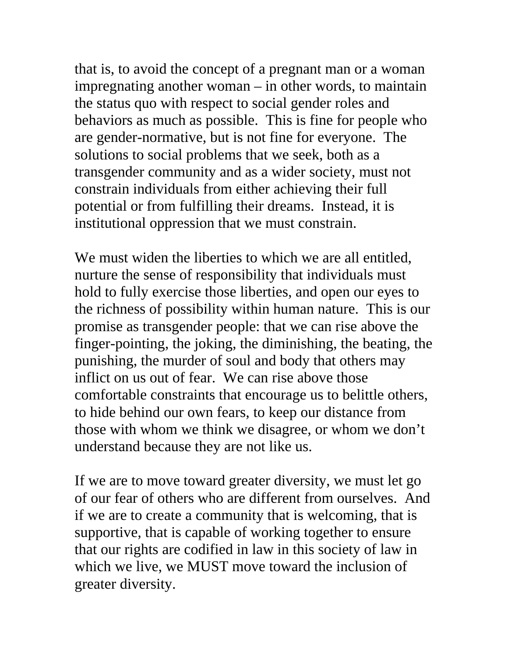that is, to avoid the concept of a pregnant man or a woman impregnating another woman – in other words, to maintain the status quo with respect to social gender roles and behaviors as much as possible. This is fine for people who are gender-normative, but is not fine for everyone. The solutions to social problems that we seek, both as a transgender community and as a wider society, must not constrain individuals from either achieving their full potential or from fulfilling their dreams. Instead, it is institutional oppression that we must constrain.

We must widen the liberties to which we are all entitled, nurture the sense of responsibility that individuals must hold to fully exercise those liberties, and open our eyes to the richness of possibility within human nature. This is our promise as transgender people: that we can rise above the finger-pointing, the joking, the diminishing, the beating, the punishing, the murder of soul and body that others may inflict on us out of fear. We can rise above those comfortable constraints that encourage us to belittle others, to hide behind our own fears, to keep our distance from those with whom we think we disagree, or whom we don't understand because they are not like us.

If we are to move toward greater diversity, we must let go of our fear of others who are different from ourselves. And if we are to create a community that is welcoming, that is supportive, that is capable of working together to ensure that our rights are codified in law in this society of law in which we live, we MUST move toward the inclusion of greater diversity.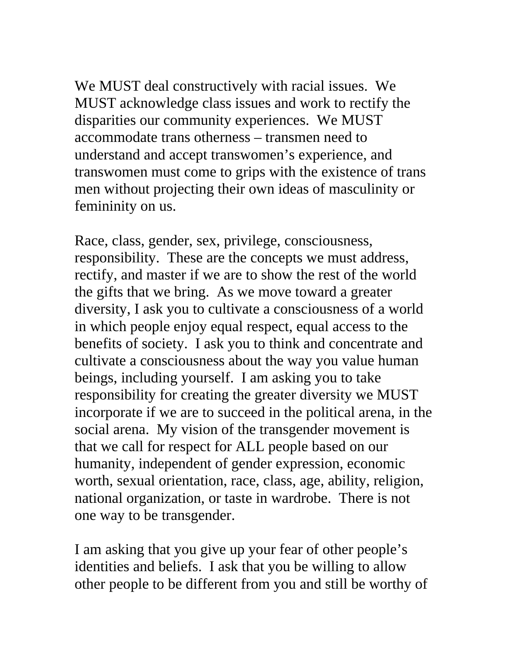We MUST deal constructively with racial issues. We MUST acknowledge class issues and work to rectify the disparities our community experiences. We MUST accommodate trans otherness – transmen need to understand and accept transwomen's experience, and transwomen must come to grips with the existence of trans men without projecting their own ideas of masculinity or femininity on us.

Race, class, gender, sex, privilege, consciousness, responsibility. These are the concepts we must address, rectify, and master if we are to show the rest of the world the gifts that we bring. As we move toward a greater diversity, I ask you to cultivate a consciousness of a world in which people enjoy equal respect, equal access to the benefits of society. I ask you to think and concentrate and cultivate a consciousness about the way you value human beings, including yourself. I am asking you to take responsibility for creating the greater diversity we MUST incorporate if we are to succeed in the political arena, in the social arena. My vision of the transgender movement is that we call for respect for ALL people based on our humanity, independent of gender expression, economic worth, sexual orientation, race, class, age, ability, religion, national organization, or taste in wardrobe. There is not one way to be transgender.

I am asking that you give up your fear of other people's identities and beliefs. I ask that you be willing to allow other people to be different from you and still be worthy of